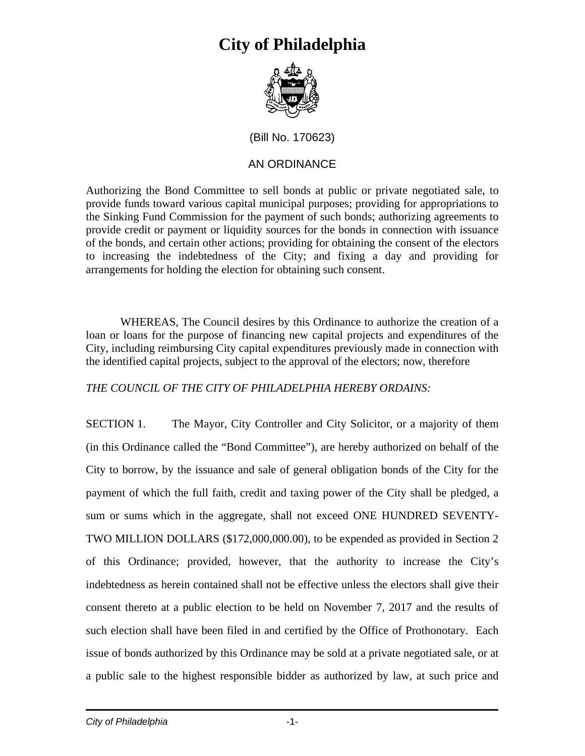

(Bill No. 170623)

### AN ORDINANCE

Authorizing the Bond Committee to sell bonds at public or private negotiated sale, to provide funds toward various capital municipal purposes; providing for appropriations to the Sinking Fund Commission for the payment of such bonds; authorizing agreements to provide credit or payment or liquidity sources for the bonds in connection with issuance of the bonds, and certain other actions; providing for obtaining the consent of the electors to increasing the indebtedness of the City; and fixing a day and providing for arrangements for holding the election for obtaining such consent.

WHEREAS, The Council desires by this Ordinance to authorize the creation of a loan or loans for the purpose of financing new capital projects and expenditures of the City, including reimbursing City capital expenditures previously made in connection with the identified capital projects, subject to the approval of the electors; now, therefore

*THE COUNCIL OF THE CITY OF PHILADELPHIA HEREBY ORDAINS:* 

SECTION 1. The Mayor, City Controller and City Solicitor, or a majority of them (in this Ordinance called the "Bond Committee"), are hereby authorized on behalf of the City to borrow, by the issuance and sale of general obligation bonds of the City for the payment of which the full faith, credit and taxing power of the City shall be pledged, a sum or sums which in the aggregate, shall not exceed ONE HUNDRED SEVENTY-TWO MILLION DOLLARS (\$172,000,000.00), to be expended as provided in Section 2 of this Ordinance; provided, however, that the authority to increase the City's indebtedness as herein contained shall not be effective unless the electors shall give their consent thereto at a public election to be held on November 7, 2017 and the results of such election shall have been filed in and certified by the Office of Prothonotary. Each issue of bonds authorized by this Ordinance may be sold at a private negotiated sale, or at a public sale to the highest responsible bidder as authorized by law, at such price and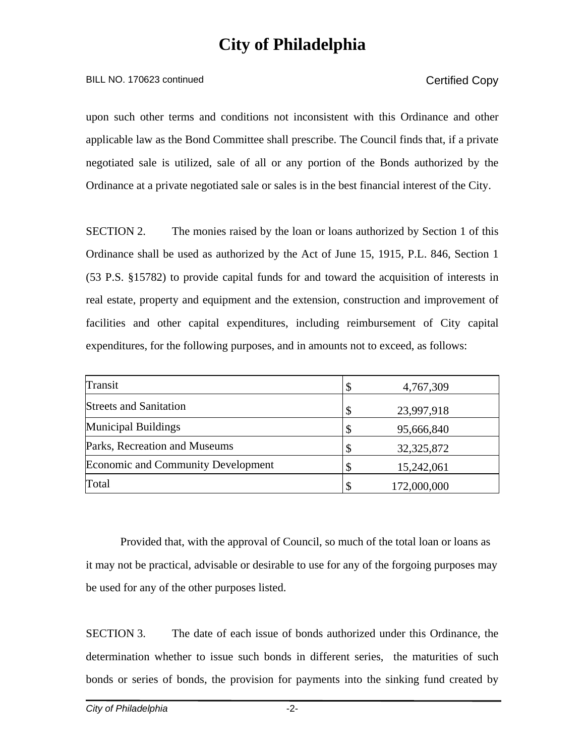upon such other terms and conditions not inconsistent with this Ordinance and other applicable law as the Bond Committee shall prescribe. The Council finds that, if a private negotiated sale is utilized, sale of all or any portion of the Bonds authorized by the Ordinance at a private negotiated sale or sales is in the best financial interest of the City.

SECTION 2. The monies raised by the loan or loans authorized by Section 1 of this Ordinance shall be used as authorized by the Act of June 15, 1915, P.L. 846, Section 1 (53 P.S. §15782) to provide capital funds for and toward the acquisition of interests in real estate, property and equipment and the extension, construction and improvement of facilities and other capital expenditures, including reimbursement of City capital expenditures, for the following purposes, and in amounts not to exceed, as follows:

| Transit                                   | 4,767,309    |
|-------------------------------------------|--------------|
| <b>Streets and Sanitation</b>             | 23,997,918   |
| <b>Municipal Buildings</b>                | 95,666,840   |
| Parks, Recreation and Museums             | 32, 325, 872 |
| <b>Economic and Community Development</b> | 15,242,061   |
| Total                                     | 172,000,000  |

 Provided that, with the approval of Council, so much of the total loan or loans as it may not be practical, advisable or desirable to use for any of the forgoing purposes may be used for any of the other purposes listed.

SECTION 3. The date of each issue of bonds authorized under this Ordinance, the determination whether to issue such bonds in different series, the maturities of such bonds or series of bonds, the provision for payments into the sinking fund created by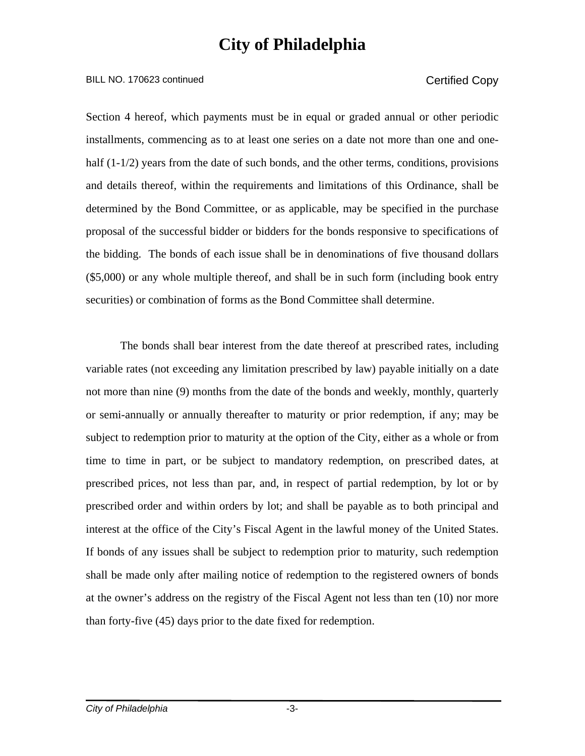### BILL NO. 170623 continued Copy

Section 4 hereof, which payments must be in equal or graded annual or other periodic installments, commencing as to at least one series on a date not more than one and onehalf (1-1/2) years from the date of such bonds, and the other terms, conditions, provisions and details thereof, within the requirements and limitations of this Ordinance, shall be determined by the Bond Committee, or as applicable, may be specified in the purchase proposal of the successful bidder or bidders for the bonds responsive to specifications of the bidding. The bonds of each issue shall be in denominations of five thousand dollars (\$5,000) or any whole multiple thereof, and shall be in such form (including book entry securities) or combination of forms as the Bond Committee shall determine.

 The bonds shall bear interest from the date thereof at prescribed rates, including variable rates (not exceeding any limitation prescribed by law) payable initially on a date not more than nine (9) months from the date of the bonds and weekly, monthly, quarterly or semi-annually or annually thereafter to maturity or prior redemption, if any; may be subject to redemption prior to maturity at the option of the City, either as a whole or from time to time in part, or be subject to mandatory redemption, on prescribed dates, at prescribed prices, not less than par, and, in respect of partial redemption, by lot or by prescribed order and within orders by lot; and shall be payable as to both principal and interest at the office of the City's Fiscal Agent in the lawful money of the United States. If bonds of any issues shall be subject to redemption prior to maturity, such redemption shall be made only after mailing notice of redemption to the registered owners of bonds at the owner's address on the registry of the Fiscal Agent not less than ten (10) nor more than forty-five (45) days prior to the date fixed for redemption.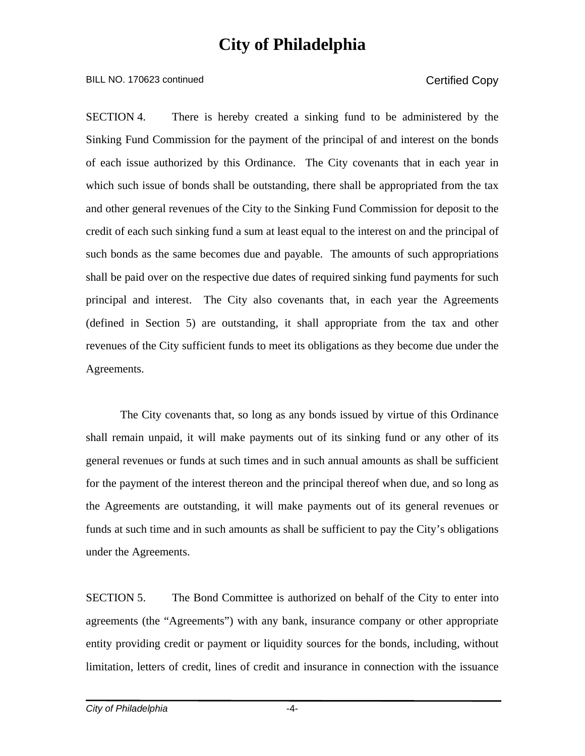### BILL NO. 170623 continued Copy

SECTION 4. There is hereby created a sinking fund to be administered by the Sinking Fund Commission for the payment of the principal of and interest on the bonds of each issue authorized by this Ordinance. The City covenants that in each year in which such issue of bonds shall be outstanding, there shall be appropriated from the tax and other general revenues of the City to the Sinking Fund Commission for deposit to the credit of each such sinking fund a sum at least equal to the interest on and the principal of such bonds as the same becomes due and payable. The amounts of such appropriations shall be paid over on the respective due dates of required sinking fund payments for such principal and interest. The City also covenants that, in each year the Agreements (defined in Section 5) are outstanding, it shall appropriate from the tax and other revenues of the City sufficient funds to meet its obligations as they become due under the Agreements.

 The City covenants that, so long as any bonds issued by virtue of this Ordinance shall remain unpaid, it will make payments out of its sinking fund or any other of its general revenues or funds at such times and in such annual amounts as shall be sufficient for the payment of the interest thereon and the principal thereof when due, and so long as the Agreements are outstanding, it will make payments out of its general revenues or funds at such time and in such amounts as shall be sufficient to pay the City's obligations under the Agreements.

SECTION 5. The Bond Committee is authorized on behalf of the City to enter into agreements (the "Agreements") with any bank, insurance company or other appropriate entity providing credit or payment or liquidity sources for the bonds, including, without limitation, letters of credit, lines of credit and insurance in connection with the issuance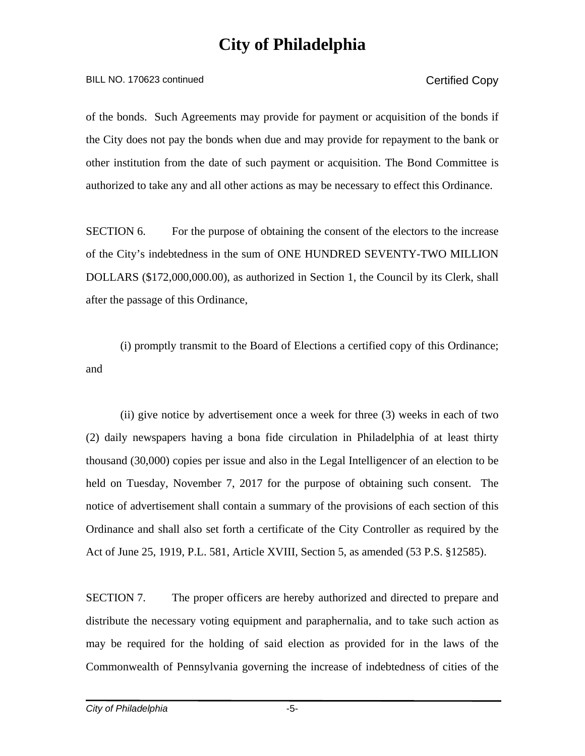### BILL NO. 170623 continued Copy

of the bonds. Such Agreements may provide for payment or acquisition of the bonds if the City does not pay the bonds when due and may provide for repayment to the bank or other institution from the date of such payment or acquisition. The Bond Committee is authorized to take any and all other actions as may be necessary to effect this Ordinance.

SECTION 6. For the purpose of obtaining the consent of the electors to the increase of the City's indebtedness in the sum of ONE HUNDRED SEVENTY-TWO MILLION DOLLARS (\$172,000,000.00), as authorized in Section 1, the Council by its Clerk, shall after the passage of this Ordinance,

 (i) promptly transmit to the Board of Elections a certified copy of this Ordinance; and

 (ii) give notice by advertisement once a week for three (3) weeks in each of two (2) daily newspapers having a bona fide circulation in Philadelphia of at least thirty thousand (30,000) copies per issue and also in the Legal Intelligencer of an election to be held on Tuesday, November 7, 2017 for the purpose of obtaining such consent. The notice of advertisement shall contain a summary of the provisions of each section of this Ordinance and shall also set forth a certificate of the City Controller as required by the Act of June 25, 1919, P.L. 581, Article XVIII, Section 5, as amended (53 P.S. §12585).

SECTION 7. The proper officers are hereby authorized and directed to prepare and distribute the necessary voting equipment and paraphernalia, and to take such action as may be required for the holding of said election as provided for in the laws of the Commonwealth of Pennsylvania governing the increase of indebtedness of cities of the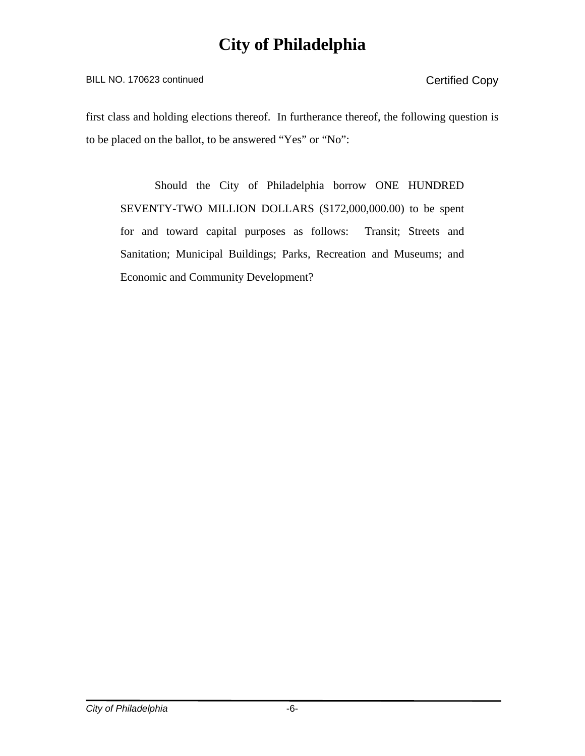### BILL NO. 170623 continued Copy

first class and holding elections thereof. In furtherance thereof, the following question is to be placed on the ballot, to be answered "Yes" or "No":

 Should the City of Philadelphia borrow ONE HUNDRED SEVENTY-TWO MILLION DOLLARS (\$172,000,000.00) to be spent for and toward capital purposes as follows: Transit; Streets and Sanitation; Municipal Buildings; Parks, Recreation and Museums; and Economic and Community Development?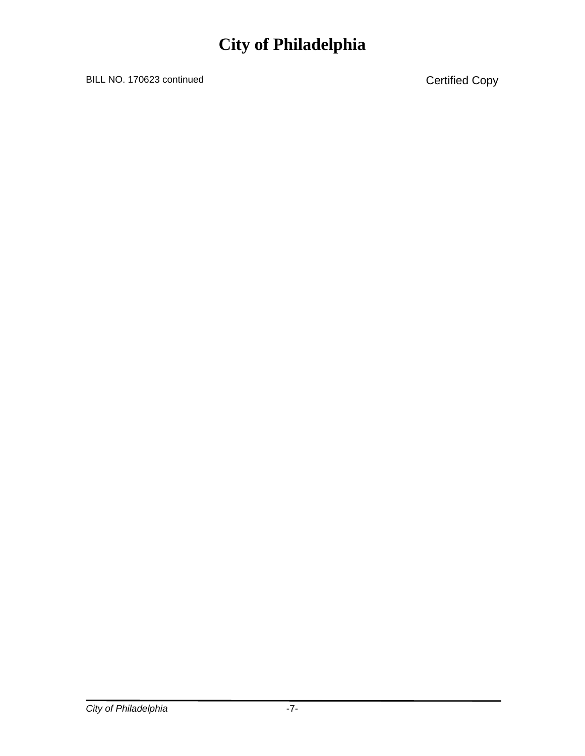BILL NO. 170623 continued Copy